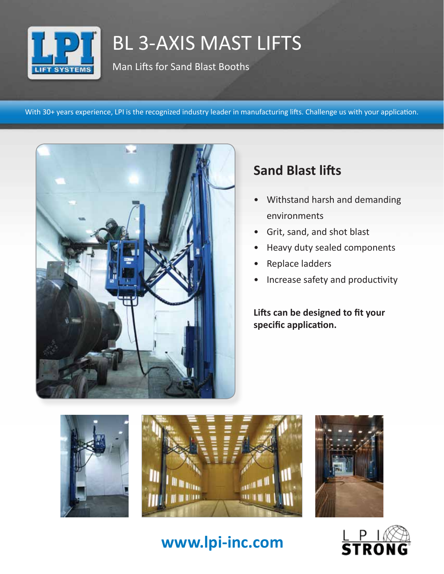

# BL 3-AXIS MAST LIFTS

Man Lifts for Sand Blast Booths

With 30+ years experience, LPI is the recognized industry leader in manufacturing lifts. Challenge us with your application.



## **Sand Blast lifts**

- Withstand harsh and demanding environments
- Grit, sand, and shot blast
- Heavy duty sealed components
- Replace ladders
- Increase safety and productivity

**Lifts can be designed to fit your specific application.**